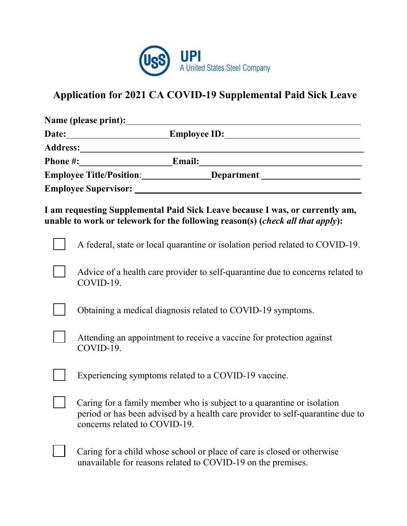

## **Application for 2021 CA COVID-19 Supplemental Paid Sick Leave**

| Name (please print): <u>and a set of the set of the set of the set of the set of the set of the set of the set of the set of the set of the set of the set of the set of the set of the set of the set of the set of the set of </u> |
|--------------------------------------------------------------------------------------------------------------------------------------------------------------------------------------------------------------------------------------|
|                                                                                                                                                                                                                                      |
|                                                                                                                                                                                                                                      |
|                                                                                                                                                                                                                                      |
|                                                                                                                                                                                                                                      |
|                                                                                                                                                                                                                                      |
| I am requesting Supplemental Paid Sick Leave because I was, or currently am,<br>unable to work or telework for the following reason(s) (check all that apply):                                                                       |
| A federal, state or local quarantine or isolation period related to COVID-19.                                                                                                                                                        |
| Advice of a health care provider to self-quarantine due to concerns related to<br>COVID-19.                                                                                                                                          |
| Obtaining a medical diagnosis related to COVID-19 symptoms.                                                                                                                                                                          |
| Attending an appointment to receive a vaccine for protection against<br>COVID-19.                                                                                                                                                    |
| Experiencing symptoms related to a COVID-19 vaccine.                                                                                                                                                                                 |
| Caring for a family member who is subject to a quarantine or isolation<br>period or has been advised by a health care provider to self-quarantine due to<br>concerns related to COVID-19.                                            |
| Caring for a child whose school or place of care is closed or otherwise<br>unavailable for reasons related to COVID-19 on the premises.                                                                                              |